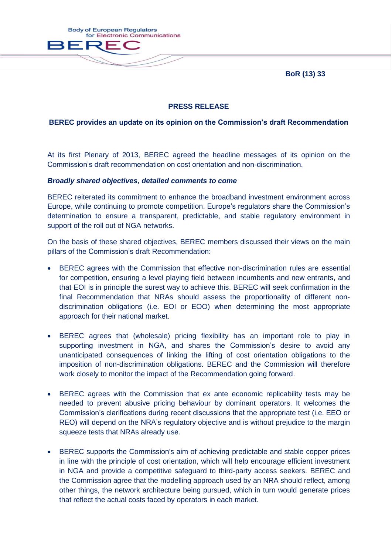**BoR (13) 33**



# **PRESS RELEASE**

## **BEREC provides an update on its opinion on the Commission's draft Recommendation**

At its first Plenary of 2013, BEREC agreed the headline messages of its opinion on the Commission's draft recommendation on cost orientation and non-discrimination.

#### *Broadly shared objectives, detailed comments to come*

BEREC reiterated its commitment to enhance the broadband investment environment across Europe, while continuing to promote competition. Europe's regulators share the Commission's determination to ensure a transparent, predictable, and stable regulatory environment in support of the roll out of NGA networks.

On the basis of these shared objectives, BEREC members discussed their views on the main pillars of the Commission's draft Recommendation:

- BEREC agrees with the Commission that effective non-discrimination rules are essential for competition, ensuring a level playing field between incumbents and new entrants, and that EOI is in principle the surest way to achieve this. BEREC will seek confirmation in the final Recommendation that NRAs should assess the proportionality of different nondiscrimination obligations (i.e. EOI or EOO) when determining the most appropriate approach for their national market.
- BEREC agrees that (wholesale) pricing flexibility has an important role to play in supporting investment in NGA, and shares the Commission's desire to avoid any unanticipated consequences of linking the lifting of cost orientation obligations to the imposition of non-discrimination obligations. BEREC and the Commission will therefore work closely to monitor the impact of the Recommendation going forward.
- BEREC agrees with the Commission that ex ante economic replicability tests may be needed to prevent abusive pricing behaviour by dominant operators. It welcomes the Commission's clarifications during recent discussions that the appropriate test (i.e. EEO or REO) will depend on the NRA's regulatory objective and is without prejudice to the margin squeeze tests that NRAs already use.
- BEREC supports the Commission's aim of achieving predictable and stable copper prices in line with the principle of cost orientation, which will help encourage efficient investment in NGA and provide a competitive safeguard to third-party access seekers. BEREC and the Commission agree that the modelling approach used by an NRA should reflect, among other things, the network architecture being pursued, which in turn would generate prices that reflect the actual costs faced by operators in each market.